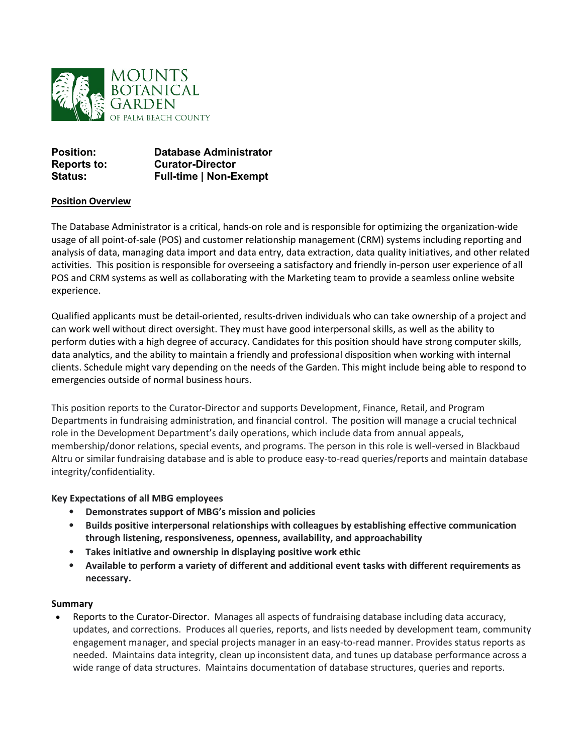

| <b>Position:</b>   | <b>Database Administrator</b> |
|--------------------|-------------------------------|
| <b>Reports to:</b> | <b>Curator-Director</b>       |
| <b>Status:</b>     | <b>Full-time   Non-Exempt</b> |

## **Position Overview**

The Database Administrator is a critical, hands-on role and is responsible for optimizing the organization-wide usage of all point-of-sale (POS) and customer relationship management (CRM) systems including reporting and analysis of data, managing data import and data entry, data extraction, data quality initiatives, and other related activities. This position is responsible for overseeing a satisfactory and friendly in-person user experience of all POS and CRM systems as well as collaborating with the Marketing team to provide a seamless online website experience.

Qualified applicants must be detail-oriented, results-driven individuals who can take ownership of a project and can work well without direct oversight. They must have good interpersonal skills, as well as the ability to perform duties with a high degree of accuracy. Candidates for this position should have strong computer skills, data analytics, and the ability to maintain a friendly and professional disposition when working with internal clients. Schedule might vary depending on the needs of the Garden. This might include being able to respond to emergencies outside of normal business hours.

This position reports to the Curator-Director and supports Development, Finance, Retail, and Program Departments in fundraising administration, and financial control. The position will manage a crucial technical role in the Development Department's daily operations, which include data from annual appeals, membership/donor relations, special events, and programs. The person in this role is well-versed in Blackbaud Altru or similar fundraising database and is able to produce easy-to-read queries/reports and maintain database integrity/confidentiality.

## **Key Expectations of all MBG employees**

- **Demonstrates support of MBG's mission and policies**
- **Builds positive interpersonal relationships with colleagues by establishing effective communication through listening, responsiveness, openness, availability, and approachability**
- **Takes initiative and ownership in displaying positive work ethic**
- **Available to perform a variety of different and additional event tasks with different requirements as necessary.**

## **Summary**

• Reports to the Curator-Director. Manages all aspects of fundraising database including data accuracy, updates, and corrections. Produces all queries, reports, and lists needed by development team, community engagement manager, and special projects manager in an easy-to-read manner. Provides status reports as needed. Maintains data integrity, clean up inconsistent data, and tunes up database performance across a wide range of data structures. Maintains documentation of database structures, queries and reports.